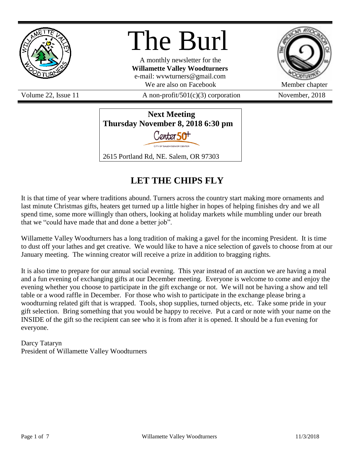

# The Burl

A monthly newsletter for the **Willamette Valley Woodturners** e-mail: wvwturners@gmail.com We are also on Facebook Member chapter



Volume 22, Issue 11  $\alpha$  non-profit/501(c)(3) corporation November, 2018



# **LET THE CHIPS FLY**

It is that time of year where traditions abound. Turners across the country start making more ornaments and last minute Christmas gifts, heaters get turned up a little higher in hopes of helping finishes dry and we all spend time, some more willingly than others, looking at holiday markets while mumbling under our breath that we "could have made that and done a better job".

Willamette Valley Woodturners has a long tradition of making a gavel for the incoming President. It is time to dust off your lathes and get creative. We would like to have a nice selection of gavels to choose from at our January meeting. The winning creator will receive a prize in addition to bragging rights.

It is also time to prepare for our annual social evening. This year instead of an auction we are having a meal and a fun evening of exchanging gifts at our December meeting. Everyone is welcome to come and enjoy the evening whether you choose to participate in the gift exchange or not. We will not be having a show and tell table or a wood raffle in December. For those who wish to participate in the exchange please bring a woodturning related gift that is wrapped. Tools, shop supplies, turned objects, etc. Take some pride in your gift selection. Bring something that you would be happy to receive. Put a card or note with your name on the INSIDE of the gift so the recipient can see who it is from after it is opened. It should be a fun evening for everyone.

Darcy Tataryn President of Willamette Valley Woodturners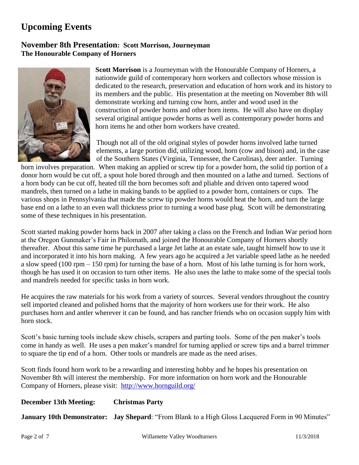# **Upcoming Events**

# **November 8th Presentation: Scott Morrison, Journeyman The Honourable Company of Horners**



**Scott Morrison** is a Journeyman with the Honourable Company of Horners, a nationwide guild of contemporary horn workers and collectors whose mission is dedicated to the research, preservation and education of horn work and its history to its members and the public. His presentation at the meeting on November 8th will demonstrate working and turning cow horn, antler and wood used in the construction of powder horns and other horn items. He will also have on display several original antique powder horns as well as contemporary powder horns and horn items he and other horn workers have created.

Though not all of the old original styles of powder horns involved lathe turned elements, a large portion did, utilizing wood, horn (cow and bison) and, in the case of the Southern States (Virginia, Tennessee, the Carolinas), deer antler. Turning

horn involves preparation. When making an applied or screw tip for a powder horn, the solid tip portion of a donor horn would be cut off, a spout hole bored through and then mounted on a lathe and turned. Sections of a horn body can be cut off, heated till the horn becomes soft and pliable and driven onto tapered wood mandrels, then turned on a lathe in making bands to be applied to a powder horn, containers or cups. The various shops in Pennsylvania that made the screw tip powder horns would heat the horn, and turn the large base end on a lathe to an even wall thickness prior to turning a wood base plug. Scott will be demonstrating some of these techniques in his presentation.

Scott started making powder horns back in 2007 after taking a class on the French and Indian War period horn at the Oregon Gunmaker's Fair in Philomath, and joined the Honourable Company of Horners shortly thereafter. About this same time he purchased a large Jet lathe at an estate sale, taught himself how to use it and incorporated it into his horn making. A few years ago he acquired a Jet variable speed lathe as he needed a slow speed (100 rpm – 150 rpm) for turning the base of a horn. Most of his lathe turning is for horn work, though he has used it on occasion to turn other items. He also uses the lathe to make some of the special tools and mandrels needed for specific tasks in horn work.

He acquires the raw materials for his work from a variety of sources. Several vendors throughout the country sell imported cleaned and polished horns that the majority of horn workers use for their work. He also purchases horn and antler wherever it can be found, and has rancher friends who on occasion supply him with horn stock.

Scott's basic turning tools include skew chisels, scrapers and parting tools. Some of the pen maker's tools come in handy as well. He uses a pen maker's mandrel for turning applied or screw tips and a barrel trimmer to square the tip end of a horn. Other tools or mandrels are made as the need arises.

Scott finds found horn work to be a rewarding and interesting hobby and he hopes his presentation on November 8th will interest the membership. For more information on horn work and the Honourable Company of Horners, please visit: <http://www.hornguild.org/>

#### **December 13th Meeting: Christmas Party**

**January 10th Demonstrator: Jay Shepard**: "From Blank to a High Gloss Lacquered Form in 90 Minutes"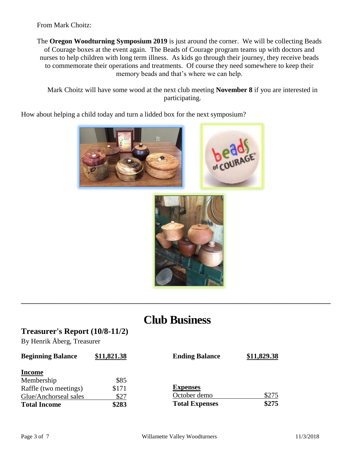From Mark Choitz:

The **Oregon Woodturning Symposium 2019** is just around the corner. We will be collecting Beads of Courage boxes at the event again. The Beads of Courage program teams up with doctors and nurses to help children with long term illness. As kids go through their journey, they receive beads to commemorate their operations and treatments. Of course they need somewhere to keep their memory beads and that's where we can help.

Mark Choitz will have some wood at the next club meeting **November 8** if you are interested in participating.

How about helping a child today and turn a lidded box for the next symposium?





# **Club Business**

**\_\_\_\_\_\_\_\_\_\_\_\_\_\_\_\_\_\_\_\_\_\_\_\_\_\_\_\_\_\_\_\_\_\_\_\_\_\_\_\_\_\_\_\_\_\_\_\_\_\_\_\_\_\_\_\_\_\_\_\_\_\_\_\_\_\_\_\_\_\_\_\_\_\_\_\_\_\_\_\_\_\_\_\_\_\_\_\_**

#### **Treasurer's Report (10/8-11/2)**

By Henrik Åberg, Treasurer

| <b>Beginning Balance</b> | \$11,821.38 | <b>Ending Balance</b> | \$11,829.38 |
|--------------------------|-------------|-----------------------|-------------|
| <b>Income</b>            |             |                       |             |
| Membership               | \$85        |                       |             |
| Raffle (two meetings)    | \$171       | <b>Expenses</b>       |             |
| Glue/Anchorseal sales    | \$27        | October demo          | \$275       |
| <b>Total Income</b>      | \$283       | <b>Total Expenses</b> | \$275       |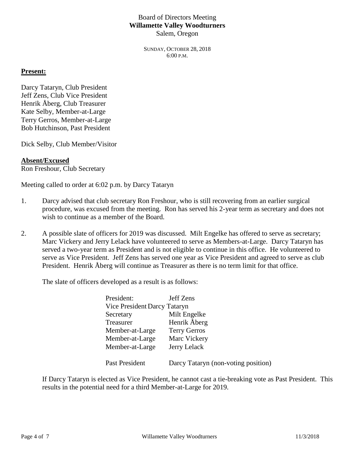#### Board of Directors Meeting **Willamette Valley Woodturners** Salem, Oregon

SUNDAY, OCTOBER 28, 2018 6:00 P.M.

#### **Present:**

Darcy Tataryn, Club President Jeff Zens, Club Vice President Henrik Åberg, Club Treasurer Kate Selby, Member-at-Large Terry Gerros, Member-at-Large Bob Hutchinson, Past President

Dick Selby, Club Member/Visitor

#### **Absent/Excused**

Ron Freshour, Club Secretary

Meeting called to order at 6:02 p.m. by Darcy Tataryn

- 1. Darcy advised that club secretary Ron Freshour, who is still recovering from an earlier surgical procedure, was excused from the meeting. Ron has served his 2-year term as secretary and does not wish to continue as a member of the Board.
- 2. A possible slate of officers for 2019 was discussed. Milt Engelke has offered to serve as secretary; Marc Vickery and Jerry Lelack have volunteered to serve as Members-at-Large. Darcy Tataryn has served a two-year term as President and is not eligible to continue in this office. He volunteered to serve as Vice President. Jeff Zens has served one year as Vice President and agreed to serve as club President. Henrik Åberg will continue as Treasurer as there is no term limit for that office.

The slate of officers developed as a result is as follows:

| President:                   | Jeff Zens                           |
|------------------------------|-------------------------------------|
| Vice President Darcy Tataryn |                                     |
| Secretary                    | Milt Engelke                        |
| Treasurer                    | Henrik Åberg                        |
| Member-at-Large              | <b>Terry Gerros</b>                 |
| Member-at-Large              | Marc Vickery                        |
| Member-at-Large              | Jerry Lelack                        |
|                              |                                     |
| Past President               | Darcy Tataryn (non-voting position) |

If Darcy Tataryn is elected as Vice President, he cannot cast a tie-breaking vote as Past President. This results in the potential need for a third Member-at-Large for 2019.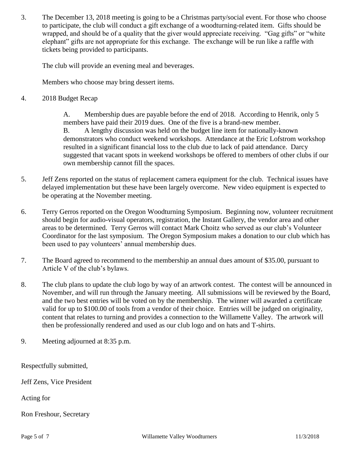3. The December 13, 2018 meeting is going to be a Christmas party/social event. For those who choose to participate, the club will conduct a gift exchange of a woodturning-related item. Gifts should be wrapped, and should be of a quality that the giver would appreciate receiving. "Gag gifts" or "white elephant" gifts are not appropriate for this exchange. The exchange will be run like a raffle with tickets being provided to participants.

The club will provide an evening meal and beverages.

Members who choose may bring dessert items.

4. 2018 Budget Recap

A. Membership dues are payable before the end of 2018. According to Henrik, only 5 members have paid their 2019 dues. One of the five is a brand-new member. B. A lengthy discussion was held on the budget line item for nationally-known demonstrators who conduct weekend workshops. Attendance at the Eric Lofstrom workshop resulted in a significant financial loss to the club due to lack of paid attendance. Darcy suggested that vacant spots in weekend workshops be offered to members of other clubs if our own membership cannot fill the spaces.

- 5. Jeff Zens reported on the status of replacement camera equipment for the club. Technical issues have delayed implementation but these have been largely overcome. New video equipment is expected to be operating at the November meeting.
- 6. Terry Gerros reported on the Oregon Woodturning Symposium. Beginning now, volunteer recruitment should begin for audio-visual operators, registration, the Instant Gallery, the vendor area and other areas to be determined. Terry Gerros will contact Mark Choitz who served as our club's Volunteer Coordinator for the last symposium. The Oregon Symposium makes a donation to our club which has been used to pay volunteers' annual membership dues.
- 7. The Board agreed to recommend to the membership an annual dues amount of \$35.00, pursuant to Article V of the club's bylaws.
- 8. The club plans to update the club logo by way of an artwork contest. The contest will be announced in November, and will run through the January meeting. All submissions will be reviewed by the Board, and the two best entries will be voted on by the membership. The winner will awarded a certificate valid for up to \$100.00 of tools from a vendor of their choice. Entries will be judged on originality, content that relates to turning and provides a connection to the Willamette Valley. The artwork will then be professionally rendered and used as our club logo and on hats and T-shirts.
- 9. Meeting adjourned at 8:35 p.m.

Respectfully submitted,

Jeff Zens, Vice President

Acting for

Ron Freshour, Secretary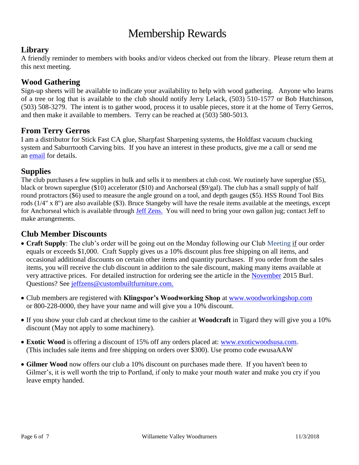# Membership Rewards

# **Library**

A friendly reminder to members with books and/or videos checked out from the library. Please return them at this next meeting.

# **Wood Gathering**

Sign-up sheets will be available to indicate your availability to help with wood gathering. Anyone who learns of a tree or log that is available to the club should notify Jerry Lelack, (503) 510-1577 or Bob Hutchinson, (503) 508-3279. The intent is to gather wood, process it to usable pieces, store it at the home of Terry Gerros, and then make it available to members. Terry can be reached at (503) 580-5013.

# **From Terry Gerros**

I am a distributor for Stick Fast CA glue, Sharpfast Sharpening systems, the Holdfast vacuum chucking system and Saburrtooth Carving bits. If you have an interest in these products, give me a call or send me an [email](mailto:gerrost@yahoo.com) for details.

# **Supplies**

The club purchases a few supplies in bulk and sells it to members at club cost. We routinely have superglue (\$5), black or brown superglue (\$10) accelerator (\$10) and Anchorseal (\$9/gal). The club has a small supply of half round protractors (\$6) used to measure the angle ground on a tool, and depth gauges (\$5). HSS Round Tool Bits rods (1/4" x 8") are also available (\$3). Bruce Stangeby will have the resale items available at the meetings, except for Anchorseal which is available through [Jeff Zens.](mailto:jeffzens@custombuiltfurniture.com) You will need to bring your own gallon jug; contact Jeff to make arrangements.

# **Club Member Discounts**

- **Craft Supply**: The club's order will be going out on the Monday following our Club Meeting if our order equals or exceeds \$1,000. Craft Supply gives us a 10% discount plus free shipping on all items, and occasional additional discounts on certain other items and quantity purchases. If you order from the sales items, you will receive the club discount in addition to the sale discount, making many items available at very attractive prices. For detailed instruction for ordering see the article in the [November](http://www.willamettevalleywoodturners.com/newsletters/2015_11_WVW_Newsletter.pdf) 2015 Burl. Questions? See [jeffzens@custombuiltfurniture.com.](mailto:jeffzens@custombuiltfurniture.com.)
- Club members are registered with **Klingspor's Woodworking Shop** at [www.woodworkingshop.com](http://www.woodworkingshop.com/)  or 800-228-0000, they have your name and will give you a 10% discount.
- If you show your club card at checkout time to the cashier at **Woodcraft** in Tigard they will give you a 10% discount (May not apply to some machinery).
- **Exotic Wood** is offering a discount of 15% off any orders placed at: [www.exoticwoodsusa.com.](http://www.exoticwoodsusa.com/) (This includes sale items and free shipping on orders over \$300). Use promo code ewusaAAW
- **Gilmer Wood** now offers our club a 10% discount on purchases made there. If you haven't been to Gilmer's, it is well worth the trip to Portland, if only to make your mouth water and make you cry if you leave empty handed.